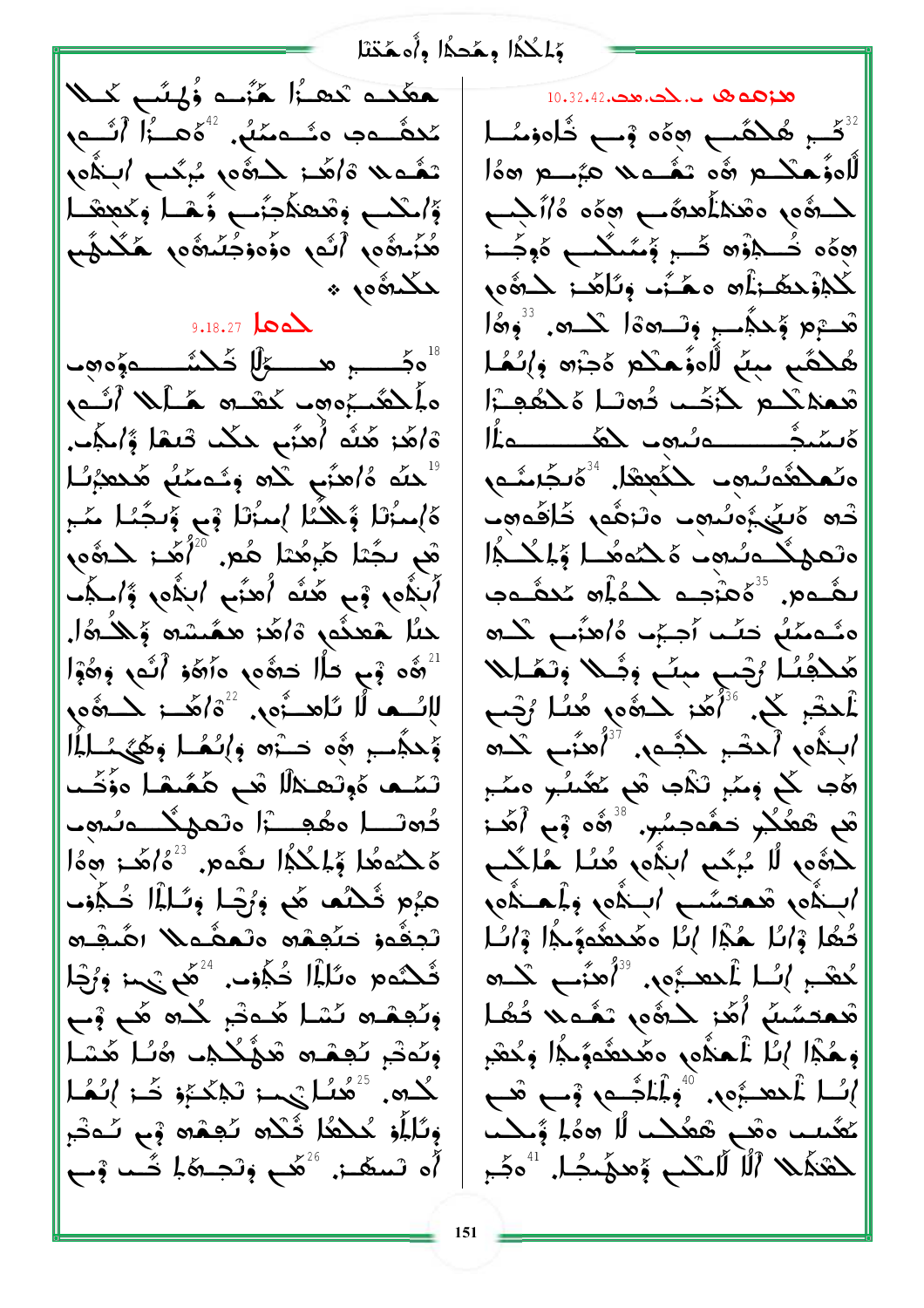وَلِمَكُمَّا وِهَجِدًا وِأَوْهَقْنَا

معَكَده تَعْصَرُا هَزُسَهِ وُلِيَسُمْ كَمِلًا كَحَقَّــوم مَسْـومَنْهُ.  $\zeta^{42}$  مَــزًّا أَنَّــوم بَعْدِهِ وَأَهْدَ حَدُّهِ وَهُمَّةٍ مَنْ مَصْفَةٍ وَّاسْكُم وِهُعَكُمَّتُ وَّهْداً وِكَعِعْداً هُنُنهُو (كُمْ وَوُودُكُمْ وَوَادِ هَكْدِهُمْ مكْمةُ مِ \*  $9.18.27$   $\Delta$  $\cos \phi$  $\sim$ مألمعُنْبَرِهِ مِنْ مَنْ مَالِكَ أَنْسَمِ ةَ/هَٰ: هَٰكُ أُهزَى حكْتَ كَنْقَا وَٱلْجَنَّ. لَّكْلُمْ هُمُعَنَّى لَّكُمْ وَشُمْعَتُمْ هَكْعَبُرْتُنَا  $\omega^{\text{19}}$ َهُ}مِمَٰٓتَلَ وَٓهَـٰٓكُمَّا }مِمَّاتَلَ وَٓى وَٚٓىـحَّـُـلَ مَـّـبِ هُم يجُمْلُ هُبِهُمْلُ هُمْ. <sup>10</sup>أَهُـ: جَلُبُهُمْ وَ أَبِكُم فَى هَنَّه أُهنَّى ابِكُم قَالِكُمْ حلًا هَعنُه، ةَ/هُز همُسْه وَلِحُدُهُ .  $\int$ وْهُ وَمِ حَالَ حَدُّهِ مِنْهُمْ وَهُوَ  $\int_0^{2\pi}$ وهُوَ  $\int_0^{2\pi}$ للأب أَل تَلْعَدُوْمٍ.  $\delta^{22}$ اهُد: كَدْوُهِمْ وَّحِبَّلَـبِ وَهُمْ حَـٰٓوَ وَإِنَّمَـٰلَ وَهَيُّـَـٰلِمَّا تسّم هُوِتَعَـٰٰهُٱ هُـمِ هُمُـمْـا هُوَّخُـب كَحْدَهُا وَلِمَكْذَا بِحُدَهِ. فَأَكْذَرُ 90\$ هِزُم ثَكْلُم هُم وَرُجْلٍ وِتُلٰٓآا خُـٰكَٰٓوٰت تَجِعُّهِ حَنُجِمُهِ وتَعِجُّهِ الْمُجْمَعِ ثَكْتُومِ وَتُلْبُلُ ثُكِّلُوْبٍ ۚ ثَمْ يَهِيزَ وَرُضًا وِنَّعِمُـُ مَنْـاً هُـُدَيْ ۚ كُـُ هَـ ۚ وَۚ بِ وِنَدخَرِ نَجِعَـرَه مَدْئِكَـٰهِـ ۖ رَهُنُـٰل هَٰـثَـا لَّكُمْ. "مُنْايْبِ: تَجْكَبُوْ ضَرْ إِنْهُا وِتَالِمُو يُحكِّدُا ثَكَلُّه تُحِمُّه وَبِ تَـٰهِيْمِ أَه تَسعًا: "هُم وَتَجِبهَا خُمَّ وَمِ

من 20:32.42. مدد 10.32.42 كَــبِ هُكْمُــــمِ وَهُو وْـــمِ خُلُوفِسُــلاً  $\mathbf{z}^{32}$ لْلُهُ وَمَكْلِ مِنْهُ عَشَمِيهِ حَبَّسِهِ مِهْدًا كْتُفْعِ وقْتِكْلُعْتَفْبِ وَوَّة وَٱلْكَبِبِ الْمِهُمْ شَكْلُوْا لَا الْمُسَكَّلُ بِهِ مَعْ الْمُسَمَّدُ كْلِبْوْهِشْمَانُا مِمْنُو وِتُاهَد كَمُّوم هُــْبْمِ وَجْحَمَّـــِ وَتَــهِ ۚ أَصَلَّــهِ ۚ وَهَٰ أَصْ هُكْفُمٍ مِنَّعٍ لَّاهِؤُهِكُمْ هَجْرٌهِ وَإِنَّعُـا تَعْمَلُكُمْ لِأَوَّكُمْ دُوسْلُ هَكْفُهِــٓ; كَ سَمْجٌ مِسْسِمَاتٍ مِنْ الْمَكْسِسِمِينَا لِلْمَجْمَعِينَ مِنْ الْمُؤْثَّلِ وتُمْحَمْدُوسُومَا حَكْمِعْدَا وَالْجَامِنُومَ خُرُه هَكَ رَحْقُ وَالْبَحْثَ مِنْ الْمَعْمَانِ ەتمېگىشىمە ئىكەئىل ۋاگىگا بَعْيَةٍ وَالْمَجْمَدِينَ مَلْكُمْ الْمَعْشَدِينَ ەشەملە خلّى أجبّى ەُ اھنَب كُلھ هَٰٓڵڲٛٮؙڶٳۥؙۻٛۑ۪ۦٮۑٮٜٞ؋ڋۘڴ؇؋ڷڡؙۜڶڴ لْمَحْبِ كُلِّ. ۚ أَأْهُدَ كَدْهُمِ هُنُا رُجْب ابِنَاهِ أَحِضْهِ حَجَّمٍ. أَأَهْنَى كَمُرَهَ هَڢۚ ڬٚ**ؠ**ٖ وٖمَّبِ ڷػٛڡؚۛ۞ ػڠۜٮڵؘؠۄڡڡٞ<br>ۿؠۦڨڠؙڲٚؠۄڂڡٞڡڝڛؙؚۥ؞۠۠۞۫ۄۦۅ۪ٛؠ۩ٞڞ۬ۥٙ لْحَدُّهِ ﴾ [السُّمرة مثل مثل السُّما كُنَّاء مثلاً مثل السَّمَاء رەقىمىگو بەقىبا بىشتىمە بەقىبا ثُعُا وَٱبُلْ هُذَا ﴾ِئا معُدهُموَّـذًا وَٱبْـا مُعْقَبِ إِنْسَا يَمْعَصُبُّومٍ. "أَهْذُبِ كَمْهَ هْمَحَسَّىلُمْ أُهُدَ حَدَّةُ وَ عَشَمَهُ خُعَالَمَ وَحُبَّا }نُا أَحذُوبٍ وهَٰنفُوءٍَنجُا وَخُفْتِ }ِنُـا عُمَدِيَّهِم. ``وَلْمَاجُــم، وْبِ هَبِ كْتُسْتَ ەقْتَ قْتْقْتَ لَمْ مَامْ وَجْتَتْ لِكَتَمَكَ ٱلْأَ لَاعْكَبِ وَمَحْهَجُا. "وَجَبِرِ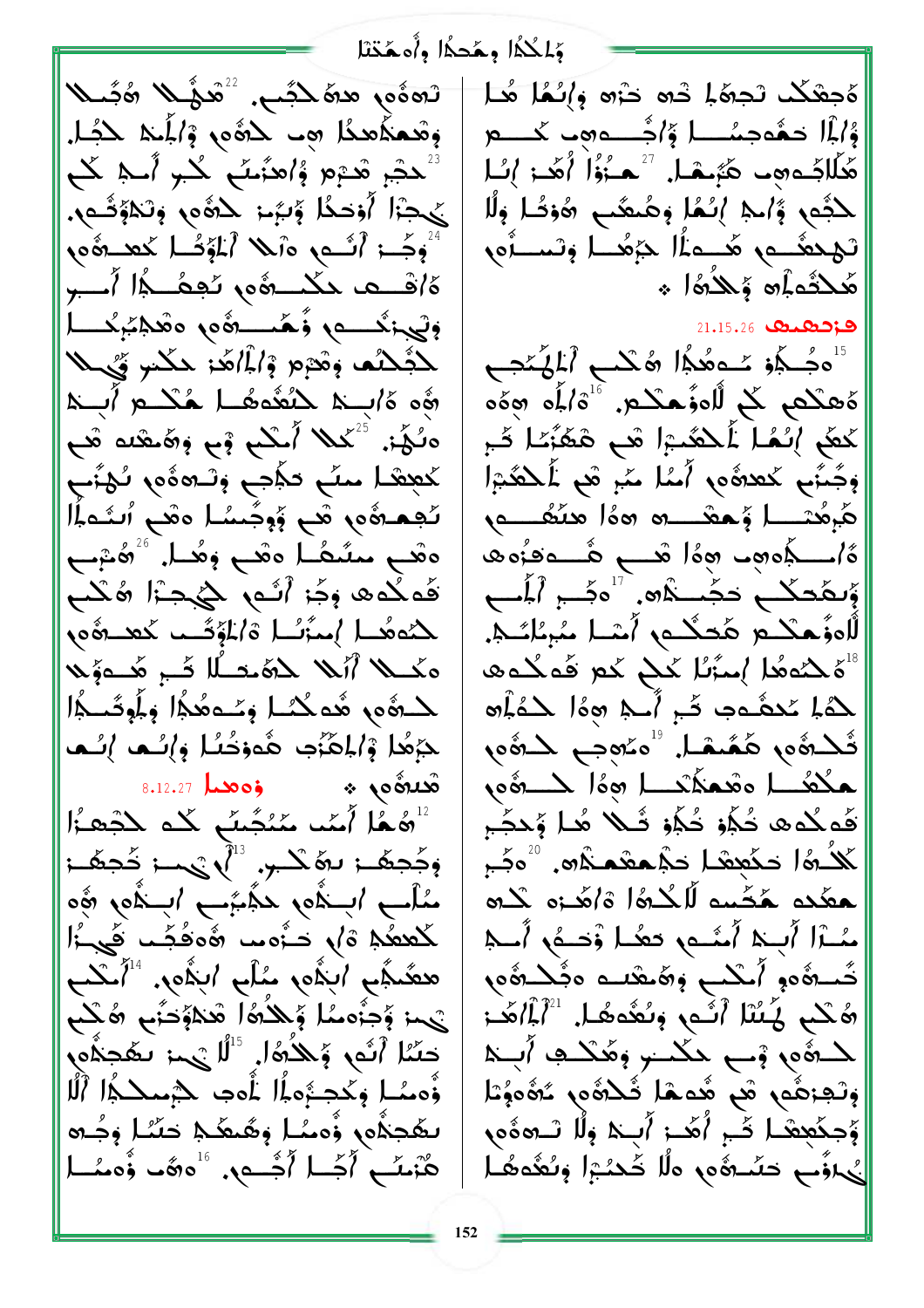وَلِمَكْمًا وِهَجِمًا وِأَوْهَقْنَا

 $\mathbf{C}$ نُدَهُومِ مِدَهُ حَجَّىبٍ.  $\mathbf{a}^{22}$  مَكْسِمًا  $\mathbf{b}$  مُحَسَنًا هُجِعْكُمْ نَجِهَا ذُهِ خَرْهِ وَإِنَّمَا هُـا وقدهكُاهدُا مِن كَمُومٍ وْإِلَمْكَ كَجُلَ <sup>33</sup>َ حَجْمٍ هُـُءِم وُ/هزَّمَـّي گُـبِر أَسمَ كُـع يُحِبَّا أُوْحَدًا وَّبَّبَ حَدَّى وَلَـٰهَ فَكَافَقَهِ. أَوْجَــز أَنَّــم هِ أَمَّاؤُكُــا كَعْـــوَّهِ ۖ ةَافْـــمْـ هَكْـــةُهِ نُهِمُّـــدًّا أُــــبر بالمستنه بمقسمة وسنتبرئ لِمُشْمَلُهِ وَهُدْمٍ وَٱلْمُأْهَدَ حَكْسٍ وَٱلْمَالَةِ بُوْهِ وَاسِنا لِمُنْفُوعُه لِمُحْلَمِ أَبِناهِ<br>مِنْهُمْ. <sup>دَي</sup>ِيا أَسْلَح وْمِ وِهُمْعُدِهِ هُمِ كَعِنْقَا سَبٍّ كَلِّجَعٍ وَلَـْ1000 نُوْزَىعٍ لَّهِمْ هُوَمٍّ فَيْ بَهُمْ مَنْ الْمَشْمَلُ الْمُسْمَلُ ەقىم مىنىمىلا ەقىم بەئىلى ئەشىم فَعِكُمِهِ وَجَزِ أَلَـْمٍ كَيْجِزًا هُكْمٍ لأَعْمَدُ لِمُنَّلًا وَالْمَؤْثَـــا كَعَدْوُهِ) مكلا أألما لمؤمداً أمّي هُدوَمْ لِحْدَةُ مِنْ هُدَيْتُمَا وَيُحْدَثُوا وَلَمُوقَبِّدِاً جَرْهُا وْالْمَخْجَدِ هُودُ*تُ*ا وِالله الله مْدَمَّى \* وَمَعْدَ 12.27 أَهُمْا أَمِّد مَنْجُبٌ كُمْ لِجْعِزًا وَجُحِكَ : سِنَ رَأَلَ يَسْمَ خُحِكَ : مَثَّابٍ ابْتَدَّامٍ حَكْمَةٍ مِنْكُمْ مِنْقَامٍ وَقَاهِ اَخْمِعْهِ مَاْمٍ حَذَّومَهِ مِعْجَمِ فَيَجْمَأْ محكَّمَها البكَّاهِ مِمْلَى البكَّاهِ. "أَمْلَام يْ وَجُوْمَنَا وَجَلَاهُا هُدَاوَّحَنَّى هُكَذَا رەَفْجصْ نىنَ للْكَ بِاهْكُمْ مِنْ أَسْتَمَاءَ

وُالْمَا حَمَّەجسُـــا وَّاجْــــە۞ كَـــــــــم هَٰكَلاَجُــهِ مِن هُجُــهْـا لَمْ يَوْزُلْ أُهَٰــز إِسُــٰ الْمَــٰ لِّكُمِ وَّالِيمَ إِنْقُلِ وَهُنَّعُبِ ۖ هُوَصُلُ وَلَٰا ۖ تهتمشيه كثير الأصبح وصنفتهن هَكْثُمْلُو وَِّكْلُوا \* 21.15.26 00.000 دَاه مُكْوَّر سُمِعُوْدًا هُكْبِي ٱلْمُكْتَبِينَ ەَهكم كُمْ لَأُوزُهكْمْ. أَأْوُلُمُ وَهَوَ كَعَمِ إِنْمُاً أَحْقَدِ ۚ قَوْ هَعَنَنَا فَ وَجَنَّنِي كَعِدِهُو أَسُلَّ سَرٍّ هُي تَأْخِفُتِهِ! هُبِهُتِكُمْ وَهِمْكُمْ مِنْ مِنْهُمْ مِنْهُمْ وَمِنْهُمْ مِنْ مِنْهُمْ مِنْ مِنْهُمْ مِنْ مِنْ مِنْ ة استجمعها وما تعليم مُستوءُه لْلُوزُهنْكُ هَدَكُم أَسْلَ مُبِئَلَتُ؟. أَهْ لِمُعَمُّلَ إِسْزَاطٌ كَلَّلٍ كُلُّلٍ فَعَكُمْ هَا لِّهُمْ مُحَقَّدِتِ ضَرِ أَسْمَ هِءُا لِكَمْلُهِ ثُكْتُوهِ هُمُسْمًا. "مَيْهِجْمْ كَتْوُمْ مكعُنا معْمَكْتَمَا هِمًا حَسْفُهِم َفَمِكُمْ دَخُلُو خُلُو ثَـٰلاً مَحْلِ وَّحَجُـٰ كْلُـهُ | حَكْمِعْـا حَجْـمعْـمـٰكَسِ.  $^2$ هَـٰـِ هعَكد هَكَسه لَا كُلهُ اوْ أَهْرَه كَله مُعْلَمَ الْمَسْمِ حَعُما وْحَــُمِ أُحِــِمْ تُمَسِّقُومِ أَمْكَنِي وَهُنْقَسَمْ وَقُلْبَقُومِ الْكُمِ لِمُمْلَأَ أَنُـمٍ وِنُعُّمَعُـاً.  $\int_0^{21}$ أَمْــٰز لْمَدْهُوبُ وَسَمٍّ مَكْسَبٍ وَهُكُلُّهِ أَبْتَدَ وِلْعِزْهُمْ هُمْ هُوَهْلُ ثُلْمُهُمْ يُؤْهِبُهُمْ لَلْمُحَمَّ وَجِكَعِنْدَا ضَرِ أُهَدِ أَبِيْهِ وَلَا تَسْوَءُهِ يُحافَّى حَسَّدُه والْا خَحْبْ إِبْرَ مَعْدَهَا }

ؤُهِنُـا وَكُجِزُهِ أَا أُهِدِ ۖ جَبِيحِكَا ٱلْأَ

بكجدُه ووُمسُل ومُبكَّدٍ حَبَّا وِجُـ

هُنْتُسْ أَجْلاً أُجْسِعٍ. "دهُب وُّوسُل